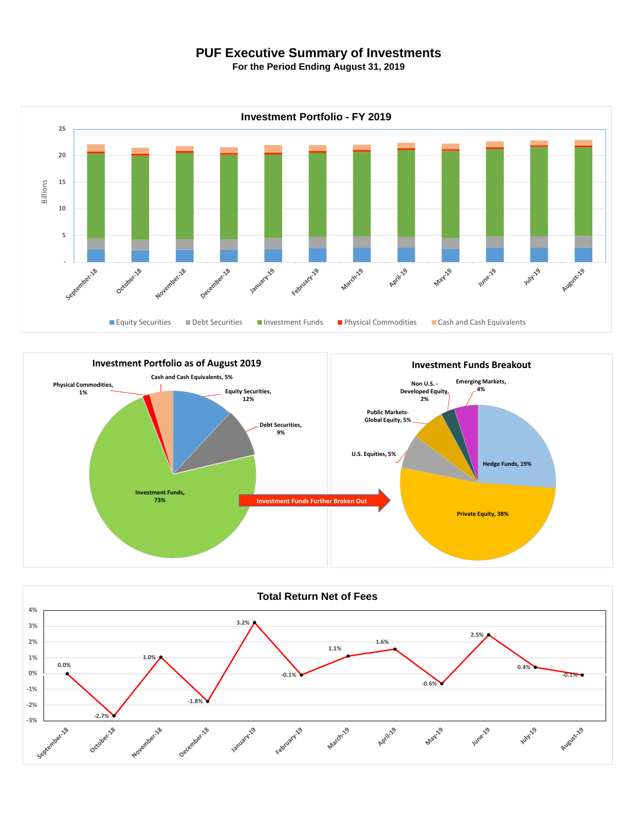## **PUF Executive Summary of Investments**

**For the Period Ending August 31, 2019**